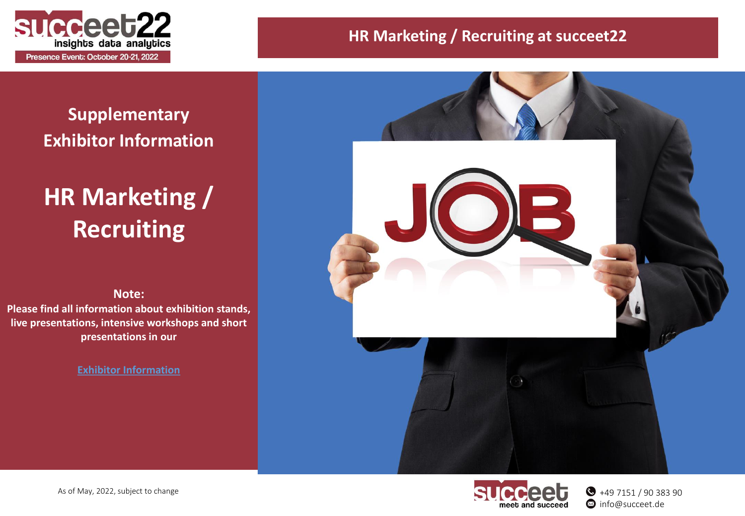

## **Supplementary Exhibitor Information**

# **HR Marketing / Recruiting**

#### **Note:**

**Please find all information about exhibition stands, live presentations, intensive workshops and short presentations in our**

**Exhibitor [Information](https://www.succeet.de/fileadmin/succeet/downloads/succeet22_Exhibitor_Information.pdf)**





+49 7151 / 90 383 90  $\bullet$  info@succeet.de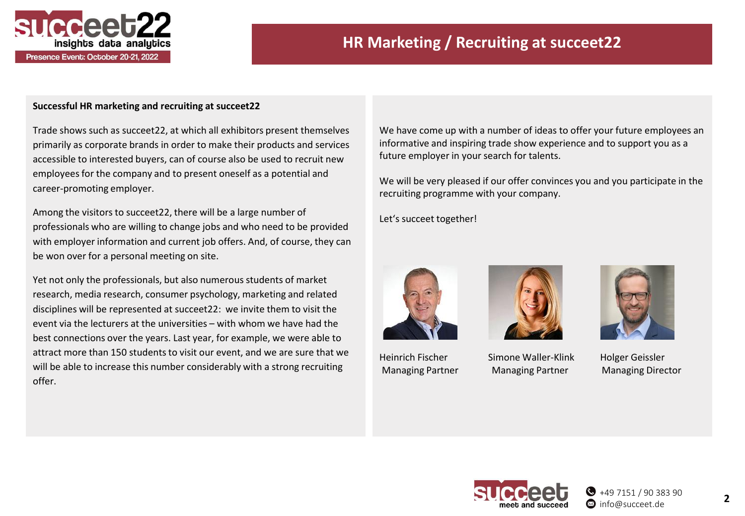

Presence Event: October 20-21, 2022

### **HR Marketing / Recruiting at succeet22**

#### **Successful HR marketing and recruiting at succeet22**

Trade shows such as succeet22, at which all exhibitors present themselves primarily as corporate brands in order to make their products and services accessible to interested buyers, can of course also be used to recruit new employees for the company and to present oneself as a potential and career-promoting employer.

Among the visitors to succeet22, there will be a large number of professionals who are willing to change jobs and who need to be provided with employer information and current job offers. And, of course, they can be won over for a personal meeting on site.

Yet not only the professionals, but also numerous students of market research, media research, consumer psychology, marketing and related disciplines will be represented at succeet22: we invite them to visit the event via the lecturers at the universities – with whom we have had the best connections over the years. Last year, for example, we were able to attract more than 150 students to visit our event, and we are sure that we will be able to increase this number considerably with a strong recruiting offer.

We have come up with a number of ideas to offer your future employees an informative and inspiring trade show experience and to support you as a future employer in your search for talents.

We will be very pleased if our offer convinces you and you participate in the recruiting programme with your company.

Let's succeet together!





Heinrich Fischer Simone Waller-Klink Holger Geissler Managing Partner Managing Partner Managing Director



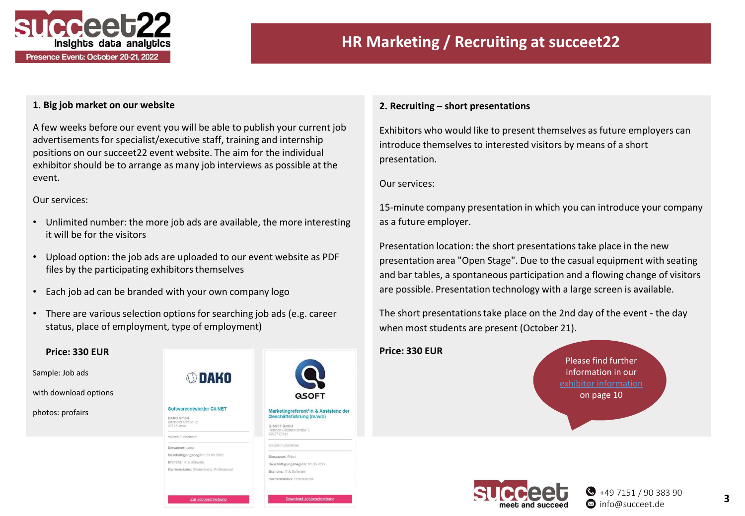

### **HR Marketing / Recruiting at succeet22**

#### **1. Big job market on our website**

A few weeks before our event you will be able to publish your current job advertisements for specialist/executive staff, training and internship positions on our succeet22 event website. The aim for the individual exhibitor should be to arrange as many job interviews as possible at the event.

Our services:

- Unlimited number: the more job ads are available, the more interesting it will be for the visitors
- Upload option: the job ads are uploaded to our event website as PDF files by the participating exhibitors themselves
- Each job ad can be branded with your own company logo
- There are various selection options for searching job ads (e.g. career status, place of employment, type of employment)

Zur Jobbeschreibun

**Download Jobbeschreibung** 

#### **Price: 330 EUR** Sample: Job ads **SDAKO** with download options Softwareentwickler C#.NET Marketingreferent\*in & Assistenz der photos: profairs Geschäftsführung (m/w/d) DAKO GmbH Brüsseler Straße 22<br>07747 Jena Q-SOFT GmbH u-sor i umori<br>Heinrich-Credner-Straße 5<br>99087 Erfurt Voilzeit / unbefriste Vollzeit / unbefriste Einsatzort: Jena Beschäftigungsbeginn: 01.06.2022 Einsatzort: Erfurt Branche: IT & Software Beschäftigungsbeginn: 01.08.2022 Karrierestatus: Studierender, Professional Branche: IT & Software Karrierestatus: Professiona

#### **2. Recruiting – short presentations**

Exhibitors who would like to present themselves as future employers can introduce themselves to interested visitors by means of a short presentation.

Our services:

15-minute company presentation in which you can introduce your company as a future employer.

Presentation location: the short presentations take place in the new presentation area "Open Stage". Due to the casual equipment with seating and bar tables, a spontaneous participation and a flowing change of visitors are possible. Presentation technology with a large screen is available.

The short presentations take place on the 2nd day of the event - the day when most students are present (October 21).

#### **Price: 330 EUR**

Please find further information in our on page 10

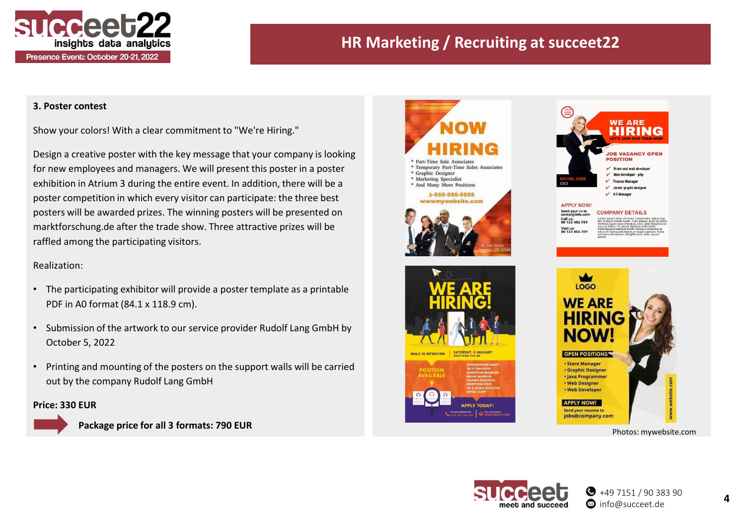

### **HR Marketing / Recruiting at succeet22**

#### **3. Poster contest**

Show your colors! With a clear commitment to "We're Hiring."

Design a creative poster with the key message that your company is looking for new employees and managers. We will present this poster in a poster exhibition in Atrium 3 during the entire event. In addition, there will be a poster competition in which every visitor can participate: the three best posters will be awarded prizes. The winning posters will be presented on marktforschung.de after the trade show. Three attractive prizes will be raffled among the participating visitors.

#### Realization:

- The participating exhibitor will provide a poster template as a printable PDF in A0 format (84.1 x 118.9 cm).
- Submission of the artwork to our service provider Rudolf Lang GmbH by October 5, 2022
- Printing and mounting of the posters on the support walls will be carried out by the company Rudolf Lang GmbH

#### **Price: 330 EUR**



**Package price for all 3 formats: 790 EUR**







Photos: mywebsite.com